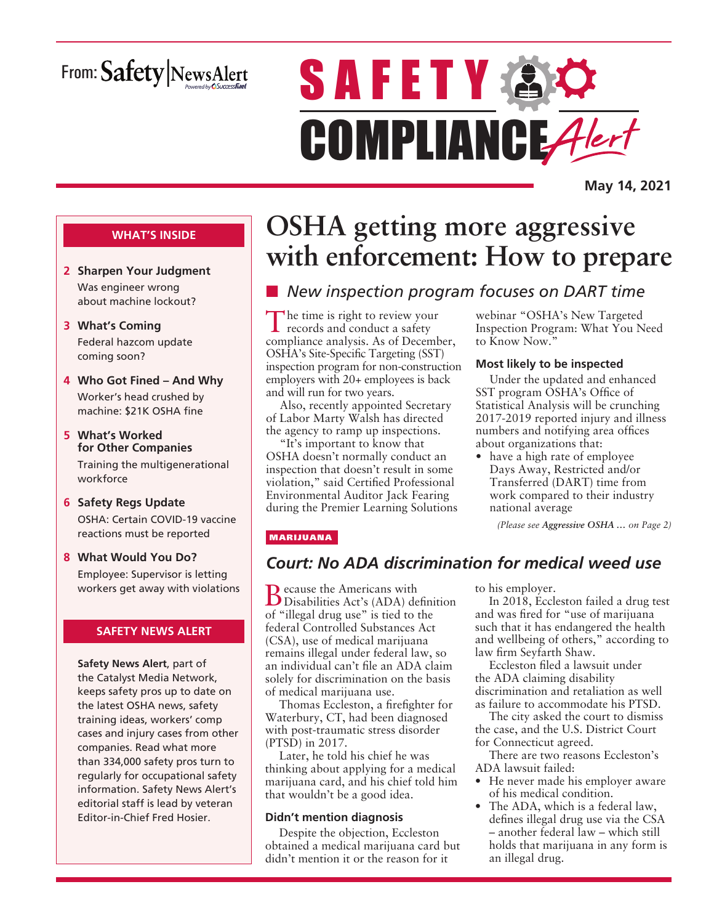# From: Safety NewsAlert

# **SAFETY AC** COMPLIANCE Alert

**May 14, 2021**

### **WHAT'S INSIDE**

- **2 Sharpen Your Judgment** Was engineer wrong about machine lockout?
- **3 What's Coming** Federal hazcom update coming soon?
- **4 Who Got Fined And Why** Worker's head crushed by machine: \$21K OSHA fine
- **5 What's Worked for Other Companies** Training the multigenerational workforce
- **6 Safety Regs Update** OSHA: Certain COVID-19 vaccine reactions must be reported
- **8 What Would You Do?** Employee: Supervisor is letting workers get away with violations

### **SAFETY NEWS ALERT**

**Safety News Alert**, part of the Catalyst Media Network, keeps safety pros up to date on the latest OSHA news, safety training ideas, workers' comp cases and injury cases from other companies. Read what more than 334,000 safety pros turn to regularly for occupational safety information. Safety News Alert's editorial staff is lead by veteran Editor-in-Chief Fred Hosier.

# **OSHA getting more aggressive with enforcement: How to prepare**

# ■ New inspection program focuses on DART time

The time is right to review your records and conduct a safety compliance analysis. As of December, OSHA's Site-Specific Targeting (SST) inspection program for non-construction employers with 20+ employees is back and will run for two years.

Also, recently appointed Secretary of Labor Marty Walsh has directed the agency to ramp up inspections.

"It's important to know that OSHA doesn't normally conduct an inspection that doesn't result in some violation," said Certified Professional Environmental Auditor Jack Fearing during the Premier Learning Solutions webinar "OSHA's New Targeted Inspection Program: What You Need to Know Now."

### **Most likely to be inspected**

Under the updated and enhanced SST program OSHA's Office of Statistical Analysis will be crunching 2017-2019 reported injury and illness numbers and notifying area offices about organizations that:

• have a high rate of employee Days Away, Restricted and/or Transferred (DART) time from work compared to their industry national average

*(Please see Aggressive OSHA … on Page 2)*

### MARIJUANA

### *Court: No ADA discrimination for medical weed use*

**B** ecause the Americans with<br>
Disabilities Act's (ADA) definition of "illegal drug use" is tied to the federal Controlled Substances Act (CSA), use of medical marijuana remains illegal under federal law, so an individual can't file an ADA claim solely for discrimination on the basis of medical marijuana use.

Thomas Eccleston, a firefighter for Waterbury, CT, had been diagnosed with post-traumatic stress disorder (PTSD) in 2017.

Later, he told his chief he was thinking about applying for a medical marijuana card, and his chief told him that wouldn't be a good idea.

### **Didn't mention diagnosis**

Despite the objection, Eccleston obtained a medical marijuana card but didn't mention it or the reason for it

to his employer.

In 2018, Eccleston failed a drug test and was fired for "use of marijuana such that it has endangered the health and wellbeing of others," according to law firm Seyfarth Shaw.

Eccleston filed a lawsuit under the ADA claiming disability discrimination and retaliation as well as failure to accommodate his PTSD.

The city asked the court to dismiss the case, and the U.S. District Court for Connecticut agreed.

There are two reasons Eccleston's ADA lawsuit failed:

- He never made his employer aware of his medical condition.
- The ADA, which is a federal law, defines illegal drug use via the CSA – another federal law – which still holds that marijuana in any form is an illegal drug.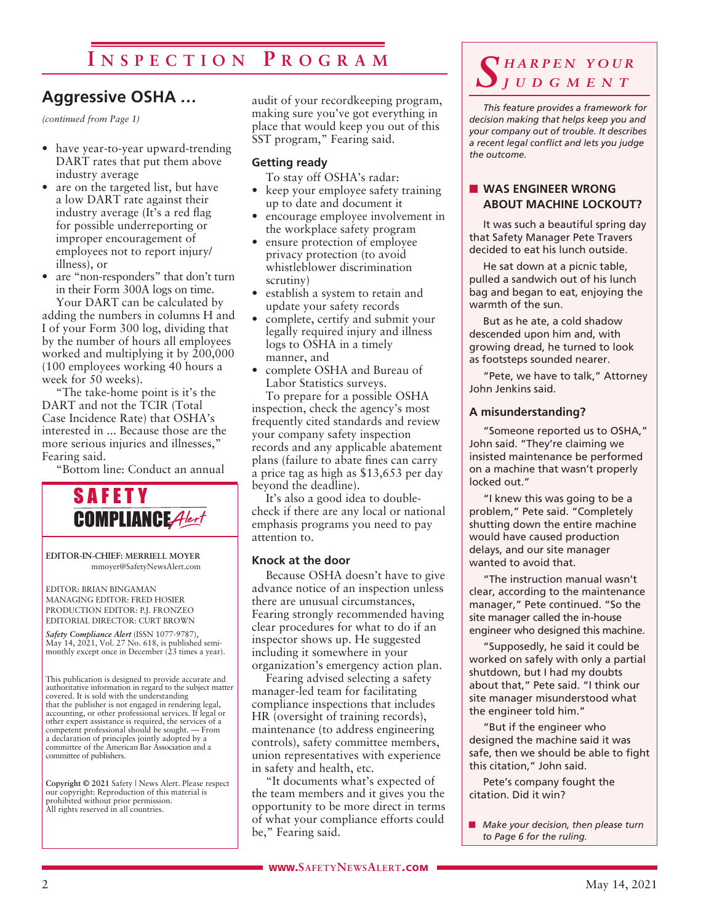# **I n s p e c t i o n P r o g r a m**

## **Aggressive OSHA** *…*

*(continued from Page 1)*

- have year-to-year upward-trending DART rates that put them above industry average
- are on the targeted list, but have a low DART rate against their industry average (It's a red flag for possible underreporting or improper encouragement of employees not to report injury/ illness), or
- are "non-responders" that don't turn in their Form 300A logs on time. Your DART can be calculated by

adding the numbers in columns H and I of your Form 300 log, dividing that by the number of hours all employees worked and multiplying it by 200,000 (100 employees working 40 hours a week for 50 weeks).

"The take-home point is it's the DART and not the TCIR (Total Case Incidence Rate) that OSHA's interested in ... Because those are the more serious injuries and illnesses," Fearing said.

"Bottom line: Conduct an annual



**EDITOR-IN-CHIEF: MERRIELL MOYER** mmoyer@SafetyNewsAlert.com

EDITOR: BRIAN BINGAMAN MANAGING EDITOR: FRED HOSIER PRODUCTION EDITOR: P.J. FRONZEO EDITORIAL DIRECTOR: CURT BROWN

*Safety Compliance Alert* (ISSN 1077-9787), May 14, 2021, Vol. 27 No. 618, is published semi-monthly except once in December (23 times a year).

This publication is designed to provide accurate and authoritative information in regard to the subject matter covered. It is sold with the understanding that the publisher is not engaged in rendering legal, accounting, or other professional services. If legal or other expert assistance is required, the services of a competent professional should be sought. — From a declaration of principles jointly adopted by a committee of the American Bar Association and a committee of publishers.

**Copyright © 2021** Safety | News Alert. Please respect our copyright: Reproduction of this material is prohibited without prior permission. All rights reserved in all countries.

audit of your recordkeeping program, making sure you've got everything in place that would keep you out of this SST program," Fearing said.

### **Getting ready**

To stay off OSHA's radar:

- keep your employee safety training up to date and document it
- encourage employee involvement in the workplace safety program
- ensure protection of employee privacy protection (to avoid whistleblower discrimination scrutiny)
- establish a system to retain and update your safety records
- complete, certify and submit your legally required injury and illness logs to OSHA in a timely manner, and
- complete OSHA and Bureau of Labor Statistics surveys.

To prepare for a possible OSHA inspection, check the agency's most frequently cited standards and review your company safety inspection records and any applicable abatement plans (failure to abate fines can carry a price tag as high as \$13,653 per day beyond the deadline).

It's also a good idea to doublecheck if there are any local or national emphasis programs you need to pay attention to.

### **Knock at the door**

Because OSHA doesn't have to give advance notice of an inspection unless there are unusual circumstances, Fearing strongly recommended having clear procedures for what to do if an inspector shows up. He suggested including it somewhere in your organization's emergency action plan.

Fearing advised selecting a safety manager-led team for facilitating compliance inspections that includes HR (oversight of training records), maintenance (to address engineering controls), safety committee members, union representatives with experience in safety and health, etc.

"It documents what's expected of the team members and it gives you the opportunity to be more direct in terms of what your compliance efforts could be," Fearing said.

### *S h a r p e n y o u r j u d g m e n t*

*This feature provides a framework for decision making that helps keep you and your company out of trouble. It describes a recent legal conflict and lets you judge the outcome.*

### **NO WAS ENGINEER WRONG ABOUT MACHINE LOCKOUT?**

It was such a beautiful spring day that Safety Manager Pete Travers decided to eat his lunch outside.

He sat down at a picnic table, pulled a sandwich out of his lunch bag and began to eat, enjoying the warmth of the sun.

But as he ate, a cold shadow descended upon him and, with growing dread, he turned to look as footsteps sounded nearer.

"Pete, we have to talk," Attorney John Jenkins said.

### **A misunderstanding?**

"Someone reported us to OSHA," John said. "They're claiming we insisted maintenance be performed on a machine that wasn't properly locked out."

"I knew this was going to be a problem," Pete said. "Completely shutting down the entire machine would have caused production delays, and our site manager wanted to avoid that.

"The instruction manual wasn't clear, according to the maintenance manager," Pete continued. "So the site manager called the in-house engineer who designed this machine.

"Supposedly, he said it could be worked on safely with only a partial shutdown, but I had my doubts about that," Pete said. "I think our site manager misunderstood what the engineer told him."

"But if the engineer who designed the machine said it was safe, then we should be able to fight this citation," John said.

Pete's company fought the citation. Did it win?

**n** *Make your decision, then please turn to Page 6 for the ruling.*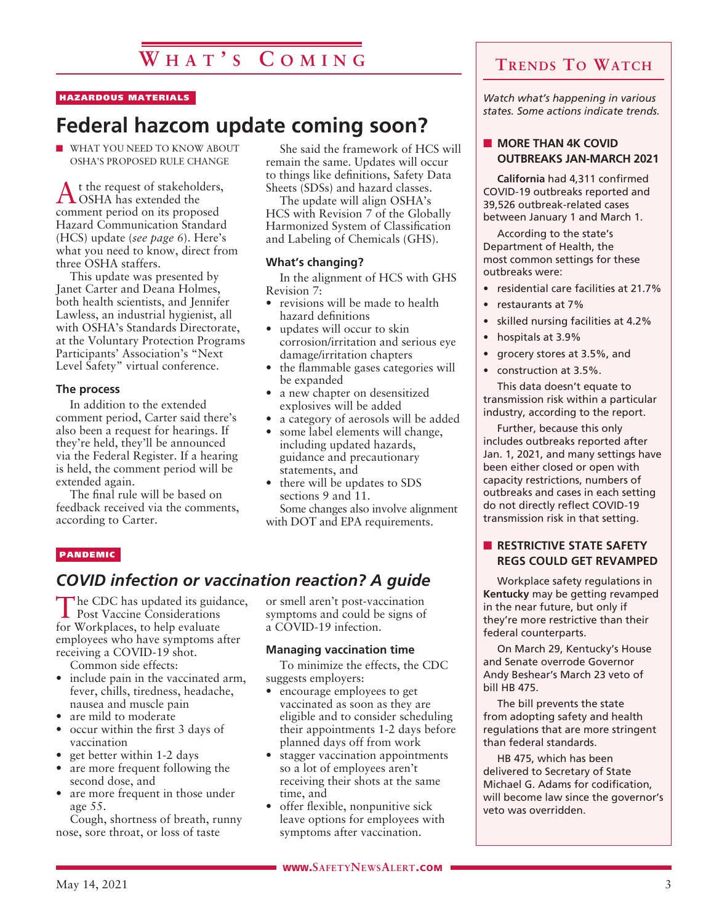# **W h a t ' s C o m i n g**

#### HAZARDOUS MATERIALS

# **Federal hazcom update coming soon?**

 $\blacksquare$  WHAT YOU NEED TO KNOW ABOUT OSHA'S PROPOSED RULE CHANGE

At the request of stakeholders, OSHA has extended the comment period on its proposed Hazard Communication Standard (HCS) update (*see page 6*). Here's what you need to know, direct from three OSHA staffers.

This update was presented by Janet Carter and Deana Holmes, both health scientists, and Jennifer Lawless, an industrial hygienist, all with OSHA's Standards Directorate, at the Voluntary Protection Programs Participants' Association's "Next Level Safety" virtual conference.

#### **The process**

In addition to the extended comment period, Carter said there's also been a request for hearings. If they're held, they'll be announced via the Federal Register. If a hearing is held, the comment period will be extended again.

The final rule will be based on feedback received via the comments, according to Carter.

She said the framework of HCS will remain the same. Updates will occur to things like definitions, Safety Data Sheets (SDSs) and hazard classes.

The update will align OSHA's HCS with Revision 7 of the Globally Harmonized System of Classification and Labeling of Chemicals (GHS).

### **What's changing?**

In the alignment of HCS with GHS Revision 7:

- revisions will be made to health hazard definitions
- updates will occur to skin corrosion/irritation and serious eye damage/irritation chapters
- the flammable gases categories will be expanded
- a new chapter on desensitized explosives will be added
- a category of aerosols will be added
- some label elements will change, including updated hazards, guidance and precautionary statements, and
- there will be updates to SDS sections 9 and 11.

Some changes also involve alignment with DOT and EPA requirements.

#### **PANDEMIC**

### *COVID infection or vaccination reaction? A guide*

The CDC has updated its guidance, Post Vaccine Considerations for Workplaces, to help evaluate employees who have symptoms after receiving a COVID-19 shot.

Common side effects:

- include pain in the vaccinated arm, fever, chills, tiredness, headache, nausea and muscle pain
- are mild to moderate
- occur within the first 3 days of vaccination
- get better within 1-2 days
- are more frequent following the second dose, and
- are more frequent in those under age 55.

Cough, shortness of breath, runny nose, sore throat, or loss of taste

or smell aren't post-vaccination symptoms and could be signs of a COVID-19 infection.

### **Managing vaccination time**

To minimize the effects, the CDC suggests employers:

- encourage employees to get vaccinated as soon as they are eligible and to consider scheduling their appointments 1-2 days before planned days off from work
- stagger vaccination appointments so a lot of employees aren't receiving their shots at the same time, and
- offer flexible, nonpunitive sick leave options for employees with symptoms after vaccination.

### **Trends To Watch**

*Watch what's happening in various states. Some actions indicate trends.*

### **NORE THAN 4K COVID OUTBREAKS JAN-MARCH 2021**

**California** had 4,311 confirmed COVID-19 outbreaks reported and 39,526 outbreak-related cases between January 1 and March 1.

According to the state's Department of Health, the most common settings for these outbreaks were:

- residential care facilities at 21.7%
- restaurants at 7%
- skilled nursing facilities at 4.2%
- hospitals at 3.9%
- grocery stores at 3.5%, and
- construction at 3.5%.

This data doesn't equate to transmission risk within a particular industry, according to the report.

Further, because this only includes outbreaks reported after Jan. 1, 2021, and many settings have been either closed or open with capacity restrictions, numbers of outbreaks and cases in each setting do not directly reflect COVID-19 transmission risk in that setting.

### **N RESTRICTIVE STATE SAFETY REGS COULD GET REVAMPED**

Workplace safety regulations in **Kentucky** may be getting revamped in the near future, but only if they're more restrictive than their federal counterparts.

On March 29, Kentucky's House and Senate overrode Governor Andy Beshear's March 23 veto of bill HB 475.

The bill prevents the state from adopting safety and health regulations that are more stringent than federal standards.

HB 475, which has been delivered to Secretary of State Michael G. Adams for codification, will become law since the governor's veto was overridden.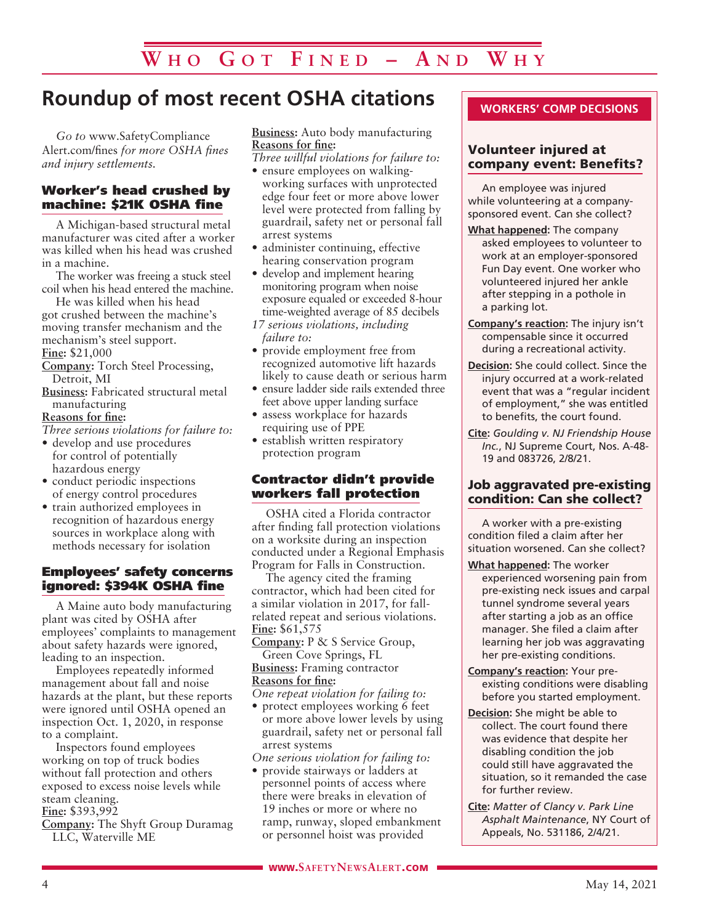# **Roundup of most recent OSHA citations**

*Go to* www.SafetyCompliance Alert.com/fines *for more OSHA fines and injury settlements.*

### Worker's head crushed by machine: \$21K OSHA fine

A Michigan-based structural metal manufacturer was cited after a worker was killed when his head was crushed in a machine.

The worker was freeing a stuck steel coil when his head entered the machine.

He was killed when his head got crushed between the machine's moving transfer mechanism and the mechanism's steel support.

**Fine:** \$21,000

**Company:** Torch Steel Processing, Detroit, MI

**Business:** Fabricated structural metal manufacturing

**Reasons for fine:**

*Three serious violations for failure to:*

- develop and use procedures for control of potentially hazardous energy
- conduct periodic inspections of energy control procedures
- train authorized employees in recognition of hazardous energy sources in workplace along with methods necessary for isolation

### Employees' safety concerns ignored: \$394K OSHA fine

A Maine auto body manufacturing plant was cited by OSHA after employees' complaints to management about safety hazards were ignored, leading to an inspection.

Employees repeatedly informed management about fall and noise hazards at the plant, but these reports were ignored until OSHA opened an inspection Oct. 1, 2020, in response to a complaint.

Inspectors found employees working on top of truck bodies without fall protection and others exposed to excess noise levels while steam cleaning.

**Fine:** \$393,992

**Company:** The Shyft Group Duramag LLC, Waterville ME

**Business:** Auto body manufacturing **Reasons for fine:**

*Three willful violations for failure to:*

- ensure employees on walkingworking surfaces with unprotected edge four feet or more above lower level were protected from falling by guardrail, safety net or personal fall arrest systems
- administer continuing, effective hearing conservation program
- develop and implement hearing monitoring program when noise exposure equaled or exceeded 8-hour time-weighted average of 85 decibels
- *17 serious violations, including failure to:*
- provide employment free from recognized automotive lift hazards likely to cause death or serious harm
- ensure ladder side rails extended three feet above upper landing surface
- assess workplace for hazards requiring use of PPE
- establish written respiratory protection program

### Contractor didn't provide workers fall protection

OSHA cited a Florida contractor after finding fall protection violations on a worksite during an inspection conducted under a Regional Emphasis Program for Falls in Construction.

The agency cited the framing contractor, which had been cited for a similar violation in 2017, for fallrelated repeat and serious violations. **Fine:** \$61,575

**Company:** P & S Service Group, Green Cove Springs, FL **Business:** Framing contractor **Reasons for fine:**

*One repeat violation for failing to:*

• protect employees working 6 feet or more above lower levels by using guardrail, safety net or personal fall arrest systems

*One serious violation for failing to:*

• provide stairways or ladders at personnel points of access where there were breaks in elevation of 19 inches or more or where no ramp, runway, sloped embankment or personnel hoist was provided

### **WORKERS' COMP DECISIONS**

### Volunteer injured at company event: Benefits?

An employee was injured while volunteering at a companysponsored event. Can she collect?

- **What happened:** The company asked employees to volunteer to work at an employer-sponsored Fun Day event. One worker who volunteered injured her ankle after stepping in a pothole in a parking lot.
- **Company's reaction:** The injury isn't compensable since it occurred during a recreational activity.
- **Decision:** She could collect. Since the injury occurred at a work-related event that was a "regular incident of employment," she was entitled to benefits, the court found.
- **Cite:** *Goulding v. NJ Friendship House Inc.*, NJ Supreme Court, Nos. A-48- 19 and 083726, 2/8/21.

### Job aggravated pre-existing condition: Can she collect?

A worker with a pre-existing condition filed a claim after her situation worsened. Can she collect?

- **What happened:** The worker experienced worsening pain from pre-existing neck issues and carpal tunnel syndrome several years after starting a job as an office manager. She filed a claim after learning her job was aggravating her pre-existing conditions.
- **Company's reaction:** Your preexisting conditions were disabling before you started employment.
- **Decision:** She might be able to collect. The court found there was evidence that despite her disabling condition the job could still have aggravated the situation, so it remanded the case for further review.
- **Cite:** *Matter of Clancy v. Park Line Asphalt Maintenance*, NY Court of Appeals, No. 531186, 2/4/21.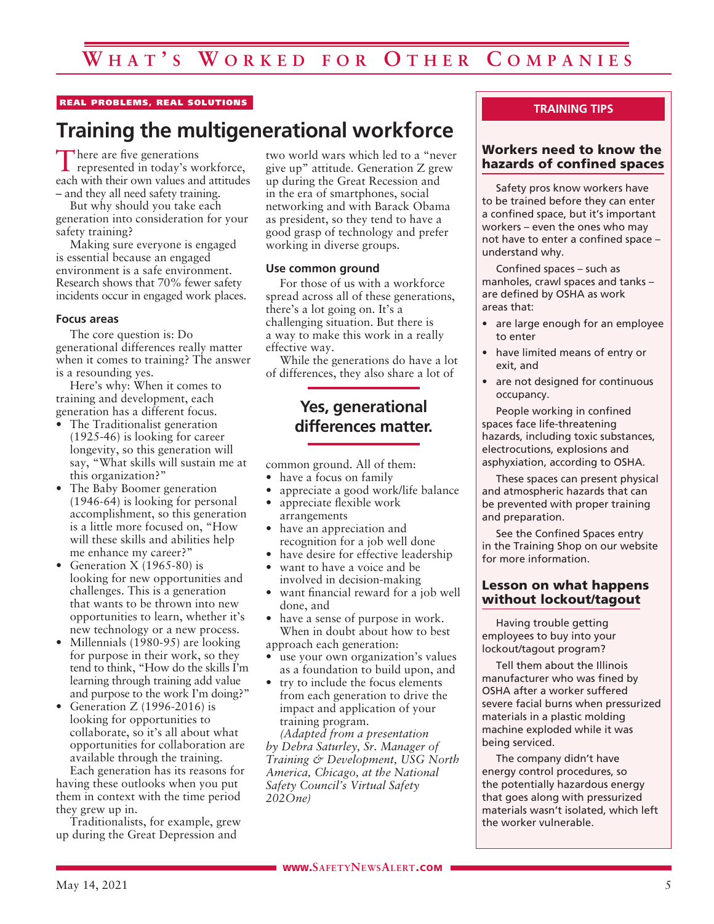### REAL PROBLEMS, REAL SOLUTIONS

# **Training the multigenerational workforce**

There are five generations represented in today's workforce, each with their own values and attitudes – and they all need safety training.

But why should you take each generation into consideration for your safety training?

Making sure everyone is engaged is essential because an engaged environment is a safe environment. Research shows that 70% fewer safety incidents occur in engaged work places.

#### **Focus areas**

The core question is: Do generational differences really matter when it comes to training? The answer is a resounding yes.

Here's why: When it comes to training and development, each generation has a different focus.

- The Traditionalist generation (1925-46) is looking for career longevity, so this generation will say, "What skills will sustain me at this organization?"
- The Baby Boomer generation (1946-64) is looking for personal accomplishment, so this generation is a little more focused on, "How will these skills and abilities help me enhance my career?"
- Generation X (1965-80) is looking for new opportunities and challenges. This is a generation that wants to be thrown into new opportunities to learn, whether it's new technology or a new process.
- Millennials (1980-95) are looking for purpose in their work, so they tend to think, "How do the skills I'm learning through training add value and purpose to the work I'm doing?"
- Generation Z (1996-2016) is looking for opportunities to collaborate, so it's all about what opportunities for collaboration are available through the training.

Each generation has its reasons for having these outlooks when you put them in context with the time period they grew up in.

Traditionalists, for example, grew up during the Great Depression and

two world wars which led to a "never give up" attitude. Generation Z grew up during the Great Recession and in the era of smartphones, social networking and with Barack Obama as president, so they tend to have a good grasp of technology and prefer working in diverse groups.

### **Use common ground**

For those of us with a workforce spread across all of these generations, there's a lot going on. It's a challenging situation. But there is a way to make this work in a really effective way.

While the generations do have a lot of differences, they also share a lot of

### **Yes, generational differences matter.**

common ground. All of them:

- have a focus on family
- appreciate a good work/life balance
- appreciate flexible work arrangements
- have an appreciation and recognition for a job well done
- have desire for effective leadership
- want to have a voice and be involved in decision-making
- want financial reward for a job well done, and
- have a sense of purpose in work. When in doubt about how to best approach each generation:
- use your own organization's values as a foundation to build upon, and
- try to include the focus elements from each generation to drive the impact and application of your training program.

*(Adapted from a presentation by Debra Saturley, Sr. Manager of Training & Development, USG North America, Chicago, at the National Safety Council's Virtual Safety 202One)*

### **TRAINING TIPS**

### Workers need to know the hazards of confined spaces

Safety pros know workers have to be trained before they can enter a confined space, but it's important workers – even the ones who may not have to enter a confined space – understand why.

Confined spaces – such as manholes, crawl spaces and tanks – are defined by OSHA as work areas that:

- are large enough for an employee to enter
- have limited means of entry or exit, and
- are not designed for continuous occupancy.

People working in confined spaces face life-threatening hazards, including toxic substances, electrocutions, explosions and asphyxiation, according to OSHA.

These spaces can present physical and atmospheric hazards that can be prevented with proper training and preparation.

See the Confined Spaces entry in the Training Shop on our website for more information.

### Lesson on what happens without lockout/tagout

Having trouble getting employees to buy into your lockout/tagout program?

Tell them about the Illinois manufacturer who was fined by OSHA after a worker suffered severe facial burns when pressurized materials in a plastic molding machine exploded while it was being serviced.

The company didn't have energy control procedures, so the potentially hazardous energy that goes along with pressurized materials wasn't isolated, which left the worker vulnerable.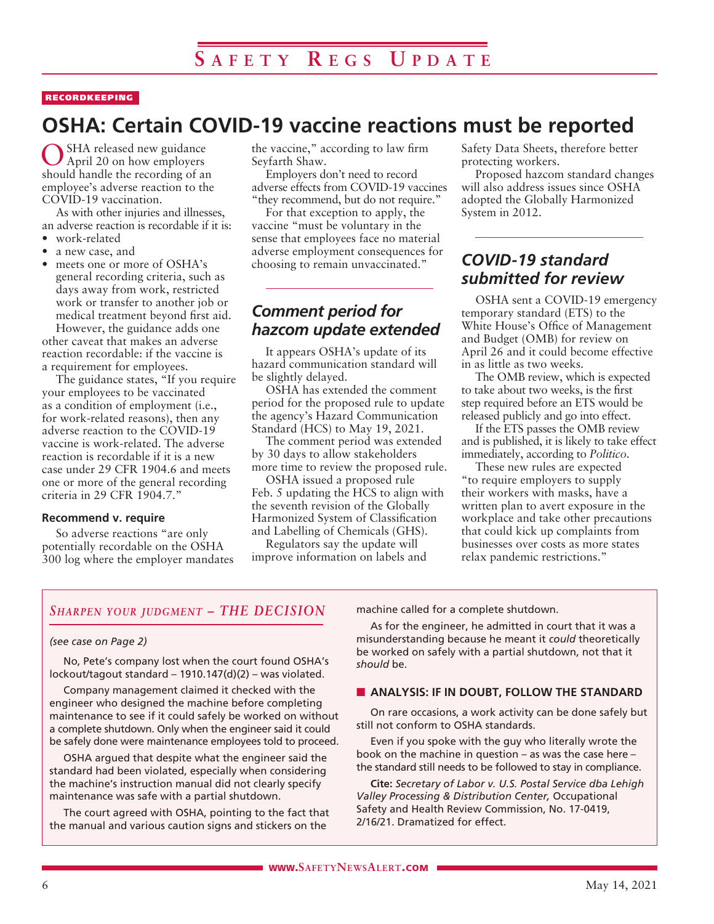### RECORDKEEPING

# **OSHA: Certain COVID-19 vaccine reactions must be reported**

SHA released new guidance April 20 on how employers should handle the recording of an employee's adverse reaction to the COVID-19 vaccination.

As with other injuries and illnesses, an adverse reaction is recordable if it is:

- work-related
- a new case, and
- meets one or more of OSHA's general recording criteria, such as days away from work, restricted work or transfer to another job or medical treatment beyond first aid.

However, the guidance adds one other caveat that makes an adverse reaction recordable: if the vaccine is a requirement for employees.

The guidance states, "If you require your employees to be vaccinated as a condition of employment (i.e., for work-related reasons), then any adverse reaction to the COVID-19 vaccine is work-related. The adverse reaction is recordable if it is a new case under 29 CFR 1904.6 and meets one or more of the general recording criteria in 29 CFR 1904.7."

#### **Recommend v. require**

So adverse reactions "are only potentially recordable on the OSHA 300 log where the employer mandates the vaccine," according to law firm Seyfarth Shaw.

Employers don't need to record adverse effects from COVID-19 vaccines "they recommend, but do not require."

For that exception to apply, the vaccine "must be voluntary in the sense that employees face no material adverse employment consequences for choosing to remain unvaccinated."

### *Comment period for hazcom update extended*

It appears OSHA's update of its hazard communication standard will be slightly delayed.

OSHA has extended the comment period for the proposed rule to update the agency's Hazard Communication Standard (HCS) to May 19, 2021.

The comment period was extended by 30 days to allow stakeholders more time to review the proposed rule.

OSHA issued a proposed rule Feb. 5 updating the HCS to align with the seventh revision of the Globally Harmonized System of Classification and Labelling of Chemicals (GHS).

Regulators say the update will improve information on labels and Safety Data Sheets, therefore better protecting workers.

Proposed hazcom standard changes will also address issues since OSHA adopted the Globally Harmonized System in 2012.

### *COVID-19 standard submitted for review*

OSHA sent a COVID-19 emergency temporary standard (ETS) to the White House's Office of Management and Budget (OMB) for review on April 26 and it could become effective in as little as two weeks.

The OMB review, which is expected to take about two weeks, is the first step required before an ETS would be released publicly and go into effect.

If the ETS passes the OMB review and is published, it is likely to take effect immediately, according to *Politico*.

These new rules are expected "to require employers to supply their workers with masks, have a written plan to avert exposure in the workplace and take other precautions that could kick up complaints from businesses over costs as more states relax pandemic restrictions."

### *Sharpen your judgment – THE DECISION*

#### *(see case on Page 2)*

No, Pete's company lost when the court found OSHA's lockout/tagout standard – 1910.147(d)(2) – was violated.

Company management claimed it checked with the engineer who designed the machine before completing maintenance to see if it could safely be worked on without a complete shutdown. Only when the engineer said it could be safely done were maintenance employees told to proceed.

OSHA argued that despite what the engineer said the standard had been violated, especially when considering the machine's instruction manual did not clearly specify maintenance was safe with a partial shutdown.

The court agreed with OSHA, pointing to the fact that the manual and various caution signs and stickers on the

machine called for a complete shutdown.

As for the engineer, he admitted in court that it was a misunderstanding because he meant it *could* theoretically be worked on safely with a partial shutdown, not that it *should* be.

### **N** ANALYSIS: IF IN DOUBT, FOLLOW THE STANDARD

On rare occasions, a work activity can be done safely but still not conform to OSHA standards.

Even if you spoke with the guy who literally wrote the book on the machine in question – as was the case here – the standard still needs to be followed to stay in compliance.

**Cite:** *Secretary of Labor v. U.S. Postal Service dba Lehigh Valley Processing & Distribution Center,* Occupational Safety and Health Review Commission, No. 17-0419, 2/16/21. Dramatized for effect.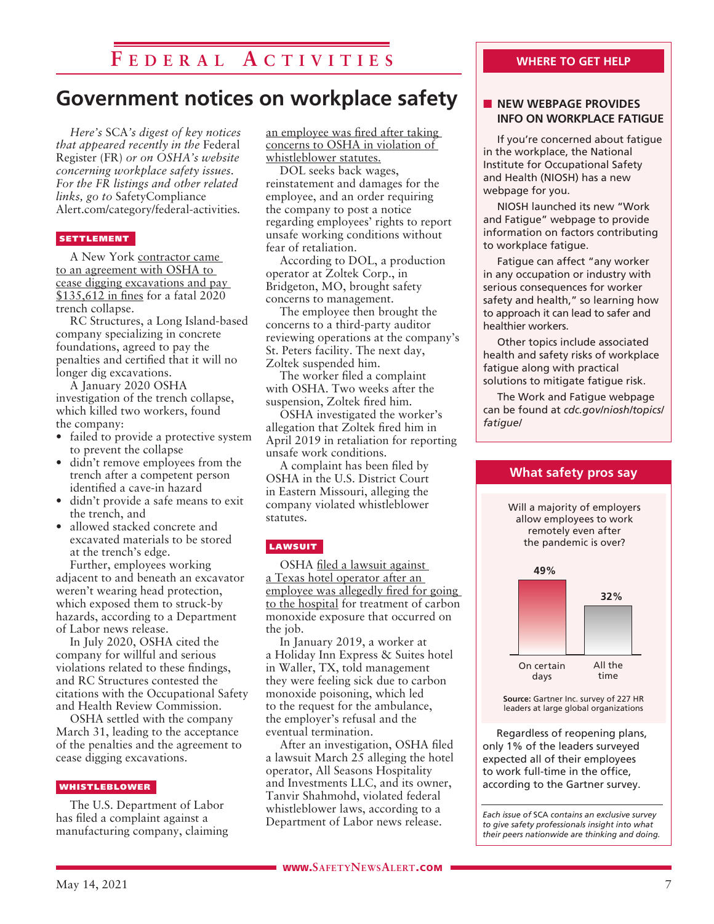# **F e d e r a l A c t i v i t i e s**

# **Government notices on workplace safety**

*Here's* SCA*'s digest of key notices that appeared recently in the* Federal Register (FR) *or on OSHA's website concerning workplace safety issues. For the FR listings and other related links, go to* SafetyCompliance Alert.com/category/federal-activities*.*

### **SETTLEMENT**

A New York contractor came to an agreement with OSHA to cease digging excavations and pay \$135,612 in fines for a fatal 2020 trench collapse.

RC Structures, a Long Island-based company specializing in concrete foundations, agreed to pay the penalties and certified that it will no longer dig excavations.

A January 2020 OSHA investigation of the trench collapse, which killed two workers, found the company:

- failed to provide a protective system to prevent the collapse
- didn't remove employees from the trench after a competent person identified a cave-in hazard
- didn't provide a safe means to exit the trench, and
- allowed stacked concrete and excavated materials to be stored at the trench's edge.

Further, employees working adjacent to and beneath an excavator weren't wearing head protection, which exposed them to struck-by hazards, according to a Department of Labor news release.

In July 2020, OSHA cited the company for willful and serious violations related to these findings, and RC Structures contested the citations with the Occupational Safety and Health Review Commission.

OSHA settled with the company March 31, leading to the acceptance of the penalties and the agreement to cease digging excavations.

#### WHISTLEBLOWER

The U.S. Department of Labor has filed a complaint against a manufacturing company, claiming

an employee was fired after taking concerns to OSHA in violation of whistleblower statutes.

DOL seeks back wages, reinstatement and damages for the employee, and an order requiring the company to post a notice regarding employees' rights to report unsafe working conditions without fear of retaliation.

According to DOL, a production operator at Zoltek Corp., in Bridgeton, MO, brought safety concerns to management.

The employee then brought the concerns to a third-party auditor reviewing operations at the company's St. Peters facility. The next day, Zoltek suspended him.

The worker filed a complaint with OSHA. Two weeks after the suspension, Zoltek fired him.

OSHA investigated the worker's allegation that Zoltek fired him in April 2019 in retaliation for reporting unsafe work conditions.

A complaint has been filed by OSHA in the U.S. District Court in Eastern Missouri, alleging the company violated whistleblower statutes.

#### **LAWSUIT**

OSHA filed a lawsuit against a Texas hotel operator after an employee was allegedly fired for going to the hospital for treatment of carbon monoxide exposure that occurred on the job.

In January 2019, a worker at a Holiday Inn Express & Suites hotel in Waller, TX, told management they were feeling sick due to carbon monoxide poisoning, which led to the request for the ambulance, the employer's refusal and the eventual termination.

After an investigation, OSHA filed a lawsuit March 25 alleging the hotel operator, All Seasons Hospitality and Investments LLC, and its owner, Tanvir Shahmohd, violated federal whistleblower laws, according to a Department of Labor news release.

### **NEW WEBPAGE PROVIDES INFO ON WORKPLACE FATIGUE**

If you're concerned about fatigue in the workplace, the National Institute for Occupational Safety and Health (NIOSH) has a new webpage for you.

NIOSH launched its new "Work and Fatigue" webpage to provide information on factors contributing to workplace fatigue.

Fatigue can affect "any worker in any occupation or industry with serious consequences for worker safety and health," so learning how to approach it can lead to safer and healthier workers.

Other topics include associated health and safety risks of workplace fatigue along with practical solutions to mitigate fatigue risk.

The Work and Fatigue webpage can be found at *cdc.gov/niosh/topics/ fatigue/*



Regardless of reopening plans, only 1% of the leaders surveyed expected all of their employees to work full-time in the office, according to the Gartner survey.

*Each issue of* SCA *contains an exclusive survey to give safety professionals insight into what their peers nationwide are thinking and doing.*